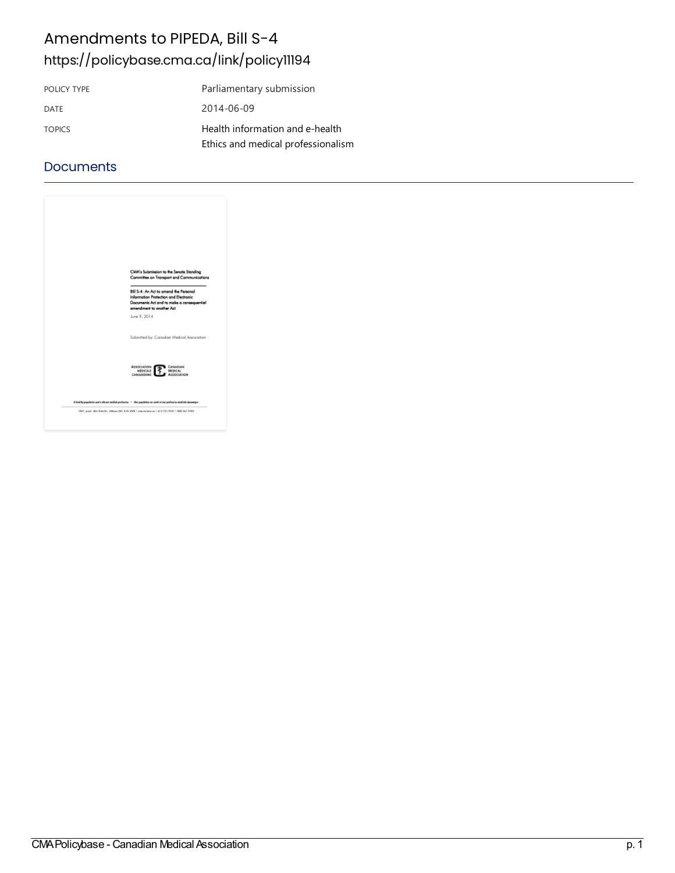### Amendments to PIPEDA, Bill S-4 <https://policybase.cma.ca/link/policy11194>

| POLICY TYPE   | Parliamentary submission           |
|---------------|------------------------------------|
| DATE          | 2014-06-09                         |
| <b>TOPICS</b> | Health information and e-health    |
|               | Ethics and medical professionalism |

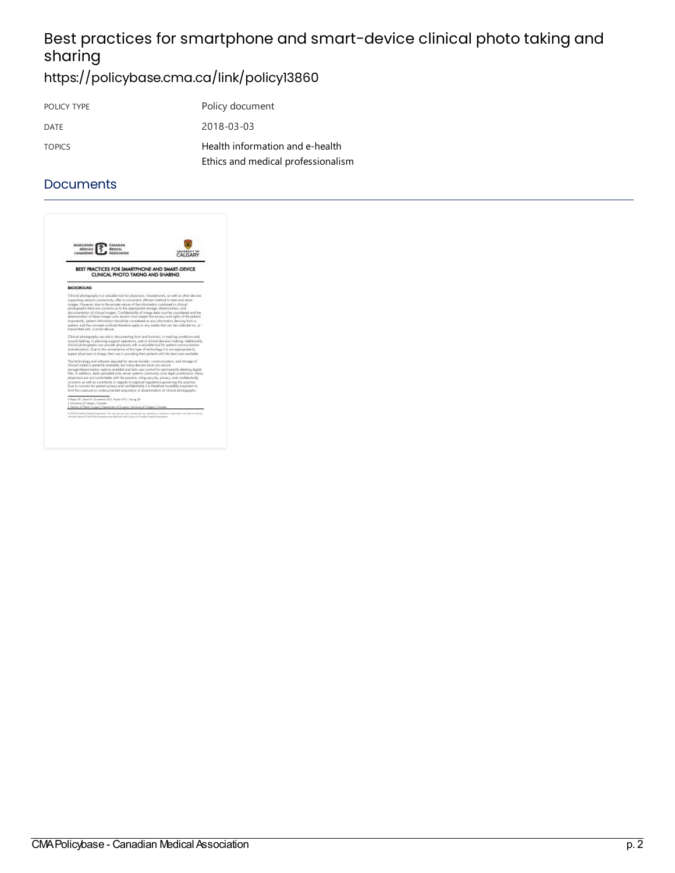### Best practices for smartphone and smart-device clinical photo taking and sharing

### <https://policybase.cma.ca/link/policy13860>

| POLICY TYPE   | Policy document                    |
|---------------|------------------------------------|
| DATE          | 2018-03-03                         |
| <b>TOPICS</b> | Health information and e-health    |
|               | Ethics and medical professionalism |

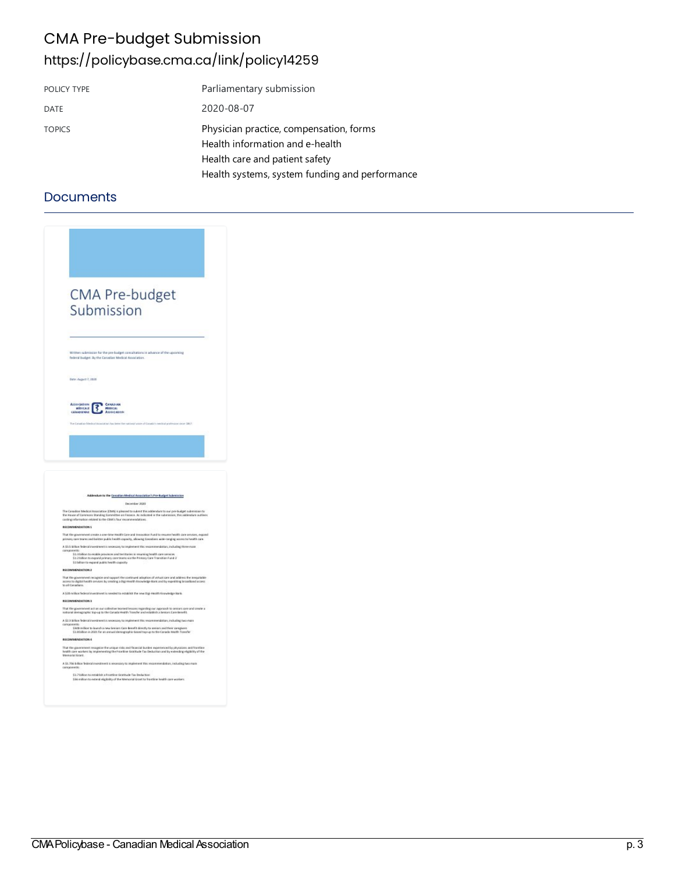### CMA Pre-budget Submission <https://policybase.cma.ca/link/policy14259>

| POLICY TYPE   | Parliamentary submission                                                                                     |
|---------------|--------------------------------------------------------------------------------------------------------------|
| <b>DATE</b>   | 2020-08-07                                                                                                   |
| <b>TOPICS</b> | Physician practice, compensation, forms<br>Health information and e-health<br>Health care and patient safety |
|               | Health systems, system funding and performance                                                               |

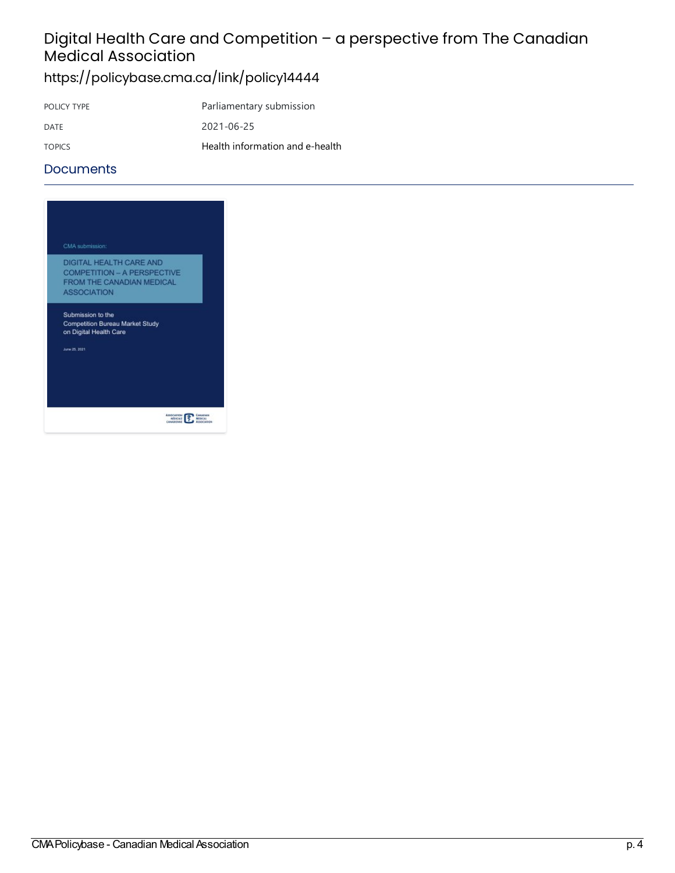## Digital Health Care and Competition - a perspective from The Canadian Medical Association

### <https://policybase.cma.ca/link/policy14444>

| POLICY TYPE   | Parliamentary submission        |
|---------------|---------------------------------|
| DATE          | 2021-06-25                      |
| <b>TOPICS</b> | Health information and e-health |

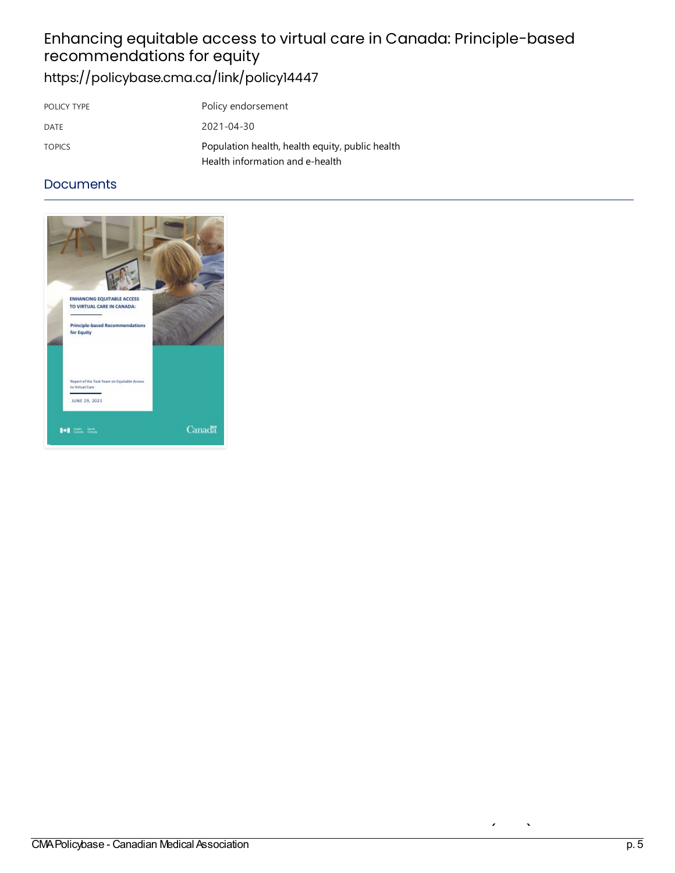### Enhancingequitableaccess tovirtualcarein Canada:Principle-based recommendations forequity <https://policybase.cma.ca/link/policy14447>

| POLICY TYPE   | Policy endorsement                                                                 |
|---------------|------------------------------------------------------------------------------------|
| DATE          | $2021 - 04 - 30$                                                                   |
| <b>TOPICS</b> | Population health, health equity, public health<br>Health information and e-health |

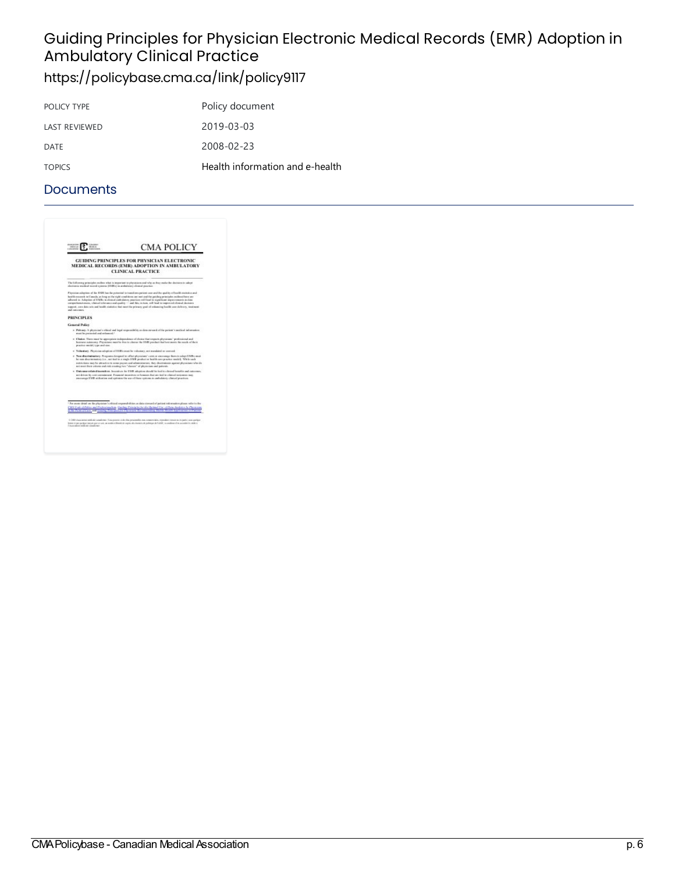# Guiding Principles for Physician Electronic Medical Records (EMR) Adoption in **Ambulatory Clinical Practice**

### <https://policybase.cma.ca/link/policy9117>

| POLICY TYPE          | Policy document                 |
|----------------------|---------------------------------|
| <b>LAST REVIEWED</b> | 2019-03-03                      |
| DATE                 | 2008-02-23                      |
| <b>TOPICS</b>        | Health information and e-health |

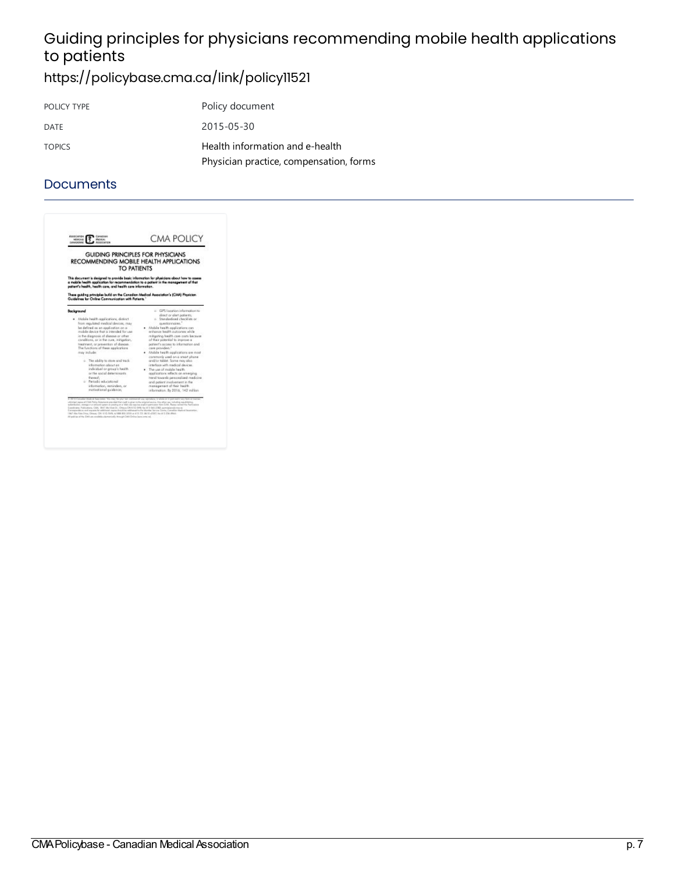### Guiding principles for physicians recommending mobile health applications to patients

<https://policybase.cma.ca/link/policy11521>

| POLICY TYPE   | Policy document                                                            |
|---------------|----------------------------------------------------------------------------|
| DATE          | 2015-05-30                                                                 |
| <b>TOPICS</b> | Health information and e-health<br>Physician practice, compensation, forms |

| GUIDING PRINCIPLES FOR PHYSICIANS<br>RECOMMENDING MOBILE HEALTH APPLICATIONS<br>TO PATIENTS                                                                                                                                                                                                                                                                                                                                                                                                                                                                                            |                                                                                                                                                                                                                                                                                                                                                                                                                                                                                                                                                                                                                                                                                                         |
|----------------------------------------------------------------------------------------------------------------------------------------------------------------------------------------------------------------------------------------------------------------------------------------------------------------------------------------------------------------------------------------------------------------------------------------------------------------------------------------------------------------------------------------------------------------------------------------|---------------------------------------------------------------------------------------------------------------------------------------------------------------------------------------------------------------------------------------------------------------------------------------------------------------------------------------------------------------------------------------------------------------------------------------------------------------------------------------------------------------------------------------------------------------------------------------------------------------------------------------------------------------------------------------------------------|
| This document is designed to provide basic information for physicians about how to essess<br>a mobile health application for recommendation to a patient in the management of that<br>potent's hooth, health care, and health care information.<br>These guiding principles build on the Canadian Medical Association's (CMA) Physician<br>Guidelines for Chiline Communication with Potteria."                                                                                                                                                                                        |                                                                                                                                                                                                                                                                                                                                                                                                                                                                                                                                                                                                                                                                                                         |
| Background<br>· Mobile health agalications, distinct<br>from regulated medical devices; may<br>be defined as an application on a<br>mobile device that is intended for use<br>is the dispects of disease or other<br>conditions, or in the cure, mitigation,<br>tractment, or prevention of disease.<br>The functions of these ppplications<br>may include:<br>o. The ability to store and track<br>information about an<br>individual or group's health.<br>or the social determinants.<br>therach.<br>o Pariodic aducational<br>information, reminders, or<br>motivational guidance; | o GPS location information to<br>direct or glert potients;<br>o. Stonekodized checklists or<br>puerticampires."<br>· Mobile health goal jostions can<br>enhance begith outcomes while<br>reitigating begith care page because<br>of their potential to improve a<br>potient's access to information and<br>cars providers. <sup>1</sup><br>· Wobile health applications are most<br>commonly used on a smart phone<br>and/ar tablet. Same may also<br>interface with readical devices.<br>. The use of mobile health.<br>applications reflects on energing<br>trand towards personalized medicine<br>and patient involvement in the<br>management of their health.<br>istorration, Br 2016, 142 million |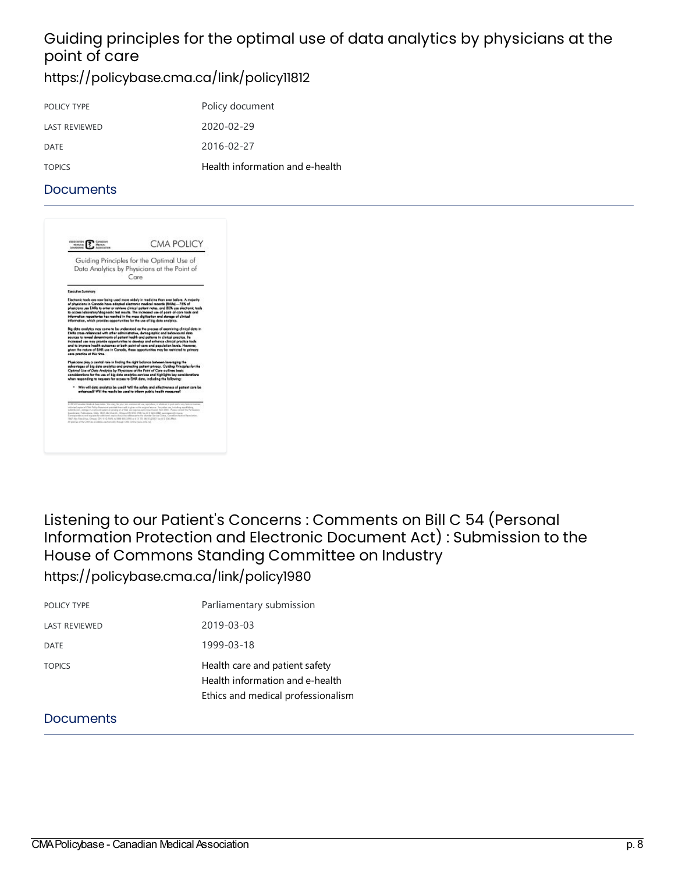### Guiding principles for the optimal use of data analytics by physicians at the point of care

### <https://policybase.cma.ca/link/policy11812>

| POLICY TYPE   | Policy document                 |
|---------------|---------------------------------|
| LAST REVIEWED | 2020-02-29                      |
| DATE          | 2016-02-27                      |
| <b>TOPICS</b> | Health information and e-health |

#### **Documents**

| Guiding Principles for the Optimal Use of<br>Data Analytics by Physicians at the Point of<br>Care                                                                                                                                                                                                                                                                                                                                                                                                                                                                                                                                                                                                                                                                                                                                                                                                                                                                                                                                                                                                                                                                                                                                                                                                                                                                                                                                                                                                                                                                              |
|--------------------------------------------------------------------------------------------------------------------------------------------------------------------------------------------------------------------------------------------------------------------------------------------------------------------------------------------------------------------------------------------------------------------------------------------------------------------------------------------------------------------------------------------------------------------------------------------------------------------------------------------------------------------------------------------------------------------------------------------------------------------------------------------------------------------------------------------------------------------------------------------------------------------------------------------------------------------------------------------------------------------------------------------------------------------------------------------------------------------------------------------------------------------------------------------------------------------------------------------------------------------------------------------------------------------------------------------------------------------------------------------------------------------------------------------------------------------------------------------------------------------------------------------------------------------------------|
| <b>Executive Summary</b>                                                                                                                                                                                                                                                                                                                                                                                                                                                                                                                                                                                                                                                                                                                                                                                                                                                                                                                                                                                                                                                                                                                                                                                                                                                                                                                                                                                                                                                                                                                                                       |
| phasicians use EMRs to onter ar retrieve clinical patient notes, and 80% use electronic tools.<br>to access laboratory/diagnostic test meals. The increased use of point-of-core tools and<br>information repealteries has resulted in the mass digitization and starage of clinical<br>information, which provides apportunities for the use of big data analytics.<br>Big data analytics may come to be understand as the process of examining clinical data in<br>EMRs cross-referenced with other administrative, demographic and behavioural data<br>sources to reveal determinants of patient health and patterns in clinical practice. Its<br>increased use way provide apportunities to develop and enhance clinical practice tools.<br>and to improve health autogmes at both point-of-care and population levels. However,<br>gives the nature of EMR use in Concelo, these opportunities may be restricted to primary<br>care proctice of this time.<br>Physicians play a central role in finding the right balance between inveraging the<br>advantages of big data analytics and protecting potient privacy. Guiding Principles for the<br>Optimal Use of Dota Analytics by Physicians at the Point of Core authors bosic<br>considerations for the use of big data projetics services and highlights law considerations<br>when responding to requests for access to EMR data, including the following:<br>* Why will date angietics be used? Will the aglety and effectiveness of potient core be<br>Tenucer rites cldug mole to bees of these aft IW Steprodus |
| G 2014 Consolide Madical Association. You create for processor communital case currently as a model and enable area from an instead<br>attituded series of CMS Publy listeness precised that a sale is given rolly adquired money. This what can including separativity,<br>solicitlicity, atempore a network spage as proving area 50th and explorational explorations from DAA. Plasma comments a Permanent<br>Constrator Publications, CMA, 1847 Mar Vues CA, Cheang CA (C D 1948, No. 6) 2 (64) 2260 permissional/crea as<br>Deregionisce and supere by additioni main doubl by addenging the Morday Santa Caree, Canadan Hadral Ignolation.<br>1 BA7 Alta Kida Driva, Omsaa, OH, 610, NHL 54 BBB 910, 2555 at of CLT17, BETO 2002, San 67 2 236 ARen.<br>10 and rise of the CMA are a radiation electronically Writight CMA Carline Jeens area cui-                                                                                                                                                                                                                                                                                                                                                                                                                                                                                                                                                                                                                                                                                                                       |

### Listening to our Patient's Concerns : Comments on Bill C 54 (Personal Information Protection and Electronic Document Act) : Submission to the House of Commons Standing Committee on Industry

<https://policybase.cma.ca/link/policy1980>

| POLICY TYPE   | Parliamentary submission                                                                                |
|---------------|---------------------------------------------------------------------------------------------------------|
| LAST REVIEWED | 2019-03-03                                                                                              |
| DATE          | 1999-03-18                                                                                              |
| <b>TOPICS</b> | Health care and patient safety<br>Health information and e-health<br>Ethics and medical professionalism |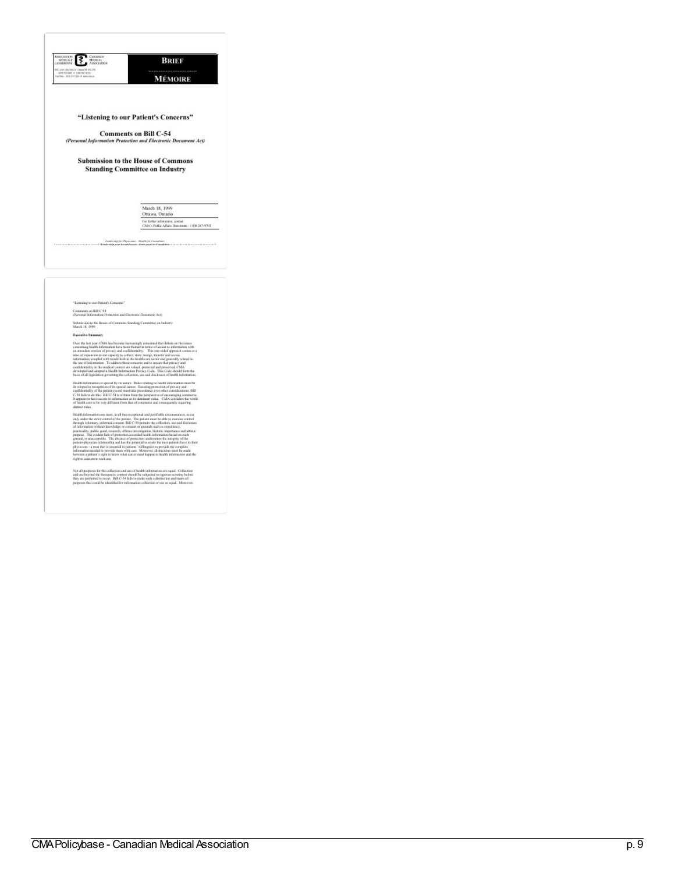

"Listening to our Parison's Concerns"

Comments on BiH C 54  $$\rm \,$  Presenties and Electronic Decement Act) (Personal Information Presenties and Electronic Decement Act) Submission to the Heuse of Commons Standing Committee on Industry March 18, 1999

#### **Executive Summary**

Over the largest CMA has been<br>encompany concerned for debate on the issues of the states of the largest<br> $\mathcal{O}(A)$  has been expected to the constant of the state<br>of the state of the constant of the state of the state of t

From or all injegrates are specially by its collected was and show<br>bounded in inferred with the special by the context. These coloring to both<br>the inferred scenario developed the special context in the condition<br> $\alpha$  of t

distinct rules. <br> Unitative formulations can be a later computed and particular constraints on the later<br>of the construction of the constraints of the constraints of the constraints<br> $\mu$  and the construction of the constr

Not all purposes for the collection and use of health information are equal. Collection and use beyond the themportic context develops and pipers are analysis before they are permitted to cocontrol. This C-54 falls to con

ning and the second second second second second second second second second second second second second second second second second second second second second second second second second second second second second second

atio n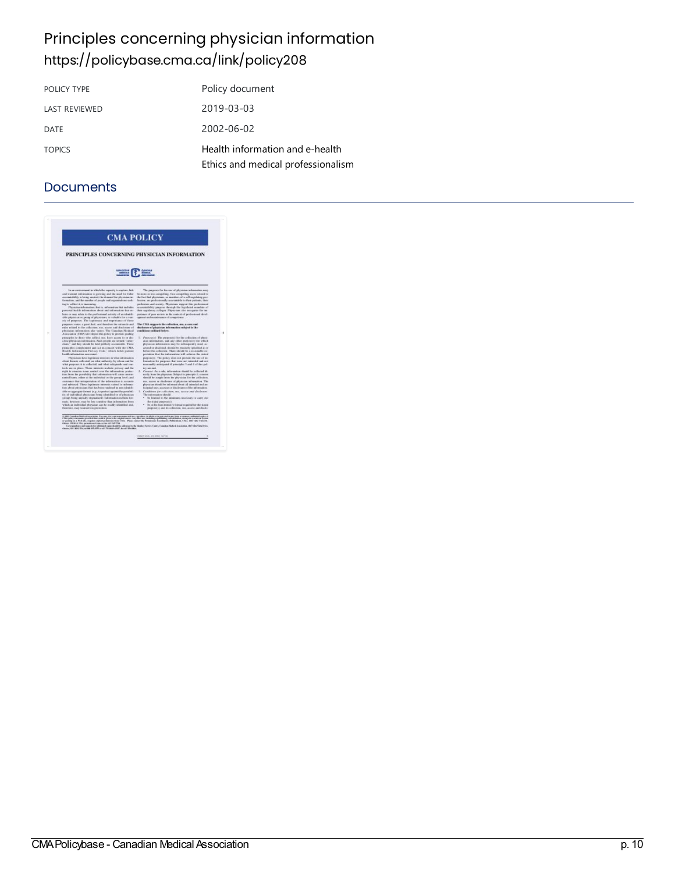### Principles concerning physician information <https://policybase.cma.ca/link/policy208>

| POLICY TYPE          | Policy document                                                       |
|----------------------|-----------------------------------------------------------------------|
| <b>LAST REVIEWED</b> | 2019-03-03                                                            |
| DATE                 | 2002-06-02                                                            |
| <b>TOPICS</b>        | Health information and e-health<br>Ethics and medical professionalism |

| <b>CMA POLICY</b><br>PRINCIPLES CONCERNING PHYSICIAN INFORMATION<br><b>The Reader</b>                                                         |                                                                                                                                                      |  |
|-----------------------------------------------------------------------------------------------------------------------------------------------|------------------------------------------------------------------------------------------------------------------------------------------------------|--|
|                                                                                                                                               |                                                                                                                                                      |  |
| Observation links (three permanental manufacturers) and Col. 1794.<br>Observe MPC ADAL PEAK Annie MRS APPEAR AS AN ENGINEERING AND A REPORTED | Correspondence and respons for solidated explorational to determine to the Member Service County Countries Medical dramatisms, 1967 Max Elera Drive, |  |
|                                                                                                                                               | TARE PURSE, 20 JUNE 16714.                                                                                                                           |  |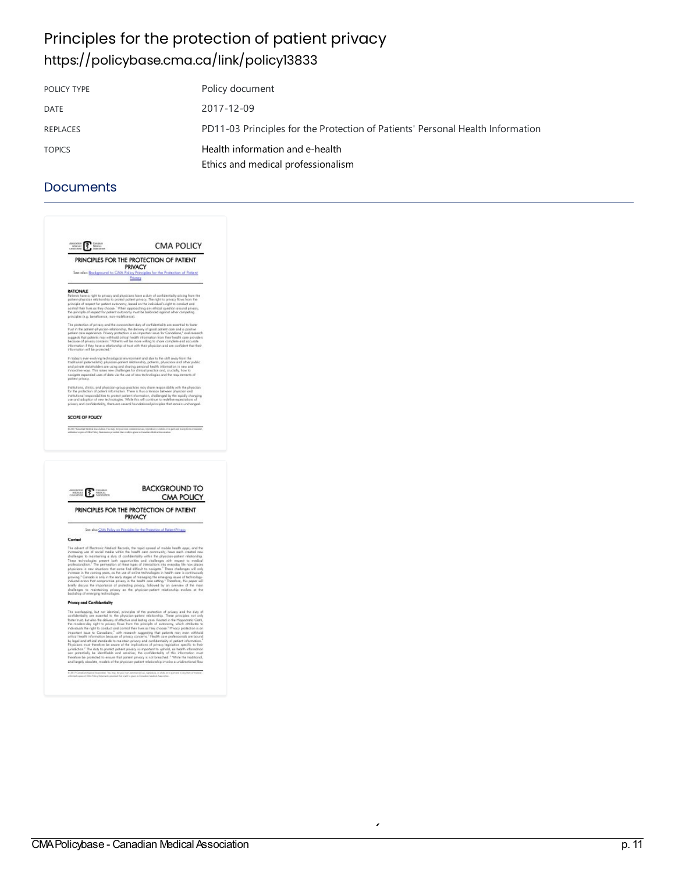### Principles for the protection of patient privacy <https://policybase.cma.ca/link/policy13833>

| POLICY TYPE   | Policy document                                                                |
|---------------|--------------------------------------------------------------------------------|
| DATE          | 2017-12-09                                                                     |
| REPLACES      | PD11-03 Principles for the Protection of Patients' Personal Health Information |
| <b>TOPICS</b> | Health information and e-health<br>Ethics and medical professionalism          |

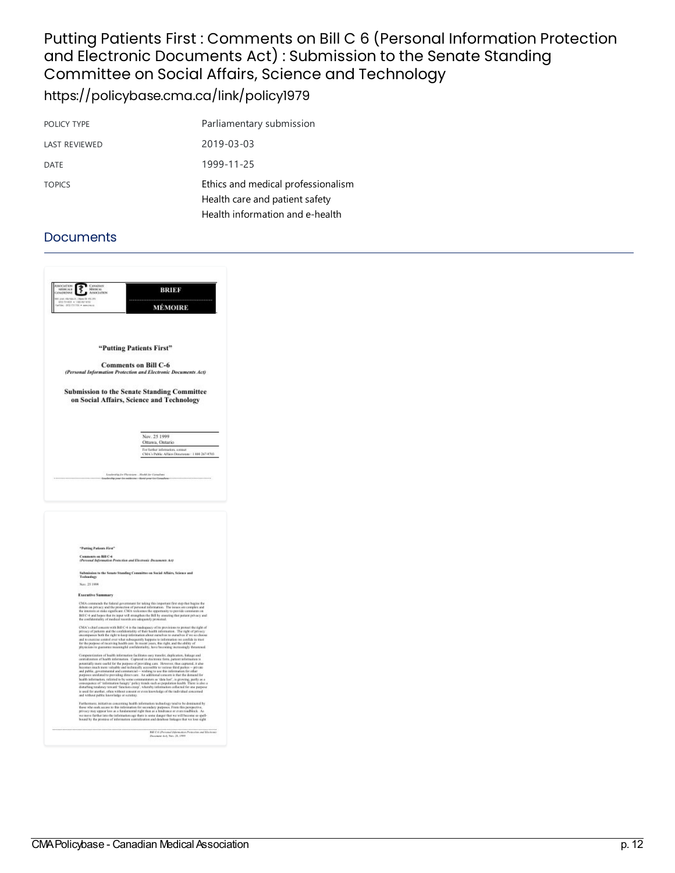### Putting Patients First : Comments on Bill C 6 (Personal Information Protection and Electronic Documents Act) : Submission to the Senate Standing Committee on Social Affairs, Science and Technology

<https://policybase.cma.ca/link/policy1979>

| POLICY TYPE          | Parliamentary submission                                             |
|----------------------|----------------------------------------------------------------------|
| <b>LAST REVIEWED</b> | 2019-03-03                                                           |
| <b>DATE</b>          | 1999-11-25                                                           |
| <b>TOPICS</b>        | Ethics and medical professionalism<br>Health care and patient safety |
|                      | Health information and e-health                                      |

| CASADIAN<br>ASSOCIATION<br>ASSOCIATION <b>CANONICAL CANONICAL ASSOCIATION</b><br>18 post electricial (Chies de Vision)<br>1825 co-richi - 1930/00/9020<br>1947 inc. (82) 231/701 - mencional | BRIEF<br>MÉMOIRE                                                                                                                                                                                                                                                                                                                                                                                                                                                                                                                                                                                                                                                                                                                                                                                                                                                                                     |  |
|----------------------------------------------------------------------------------------------------------------------------------------------------------------------------------------------|------------------------------------------------------------------------------------------------------------------------------------------------------------------------------------------------------------------------------------------------------------------------------------------------------------------------------------------------------------------------------------------------------------------------------------------------------------------------------------------------------------------------------------------------------------------------------------------------------------------------------------------------------------------------------------------------------------------------------------------------------------------------------------------------------------------------------------------------------------------------------------------------------|--|
| "Putting Patients First"<br><b>Comments on Bill C-6</b><br>(Personal Information Protection and Electronic Documents Act)                                                                    |                                                                                                                                                                                                                                                                                                                                                                                                                                                                                                                                                                                                                                                                                                                                                                                                                                                                                                      |  |
|                                                                                                                                                                                              | <b>Submission to the Senate Standing Committee</b><br>on Social Affairs, Science and Technology                                                                                                                                                                                                                                                                                                                                                                                                                                                                                                                                                                                                                                                                                                                                                                                                      |  |
|                                                                                                                                                                                              |                                                                                                                                                                                                                                                                                                                                                                                                                                                                                                                                                                                                                                                                                                                                                                                                                                                                                                      |  |
|                                                                                                                                                                                              | Nov. 25 1999<br>Ottawa, Outario                                                                                                                                                                                                                                                                                                                                                                                                                                                                                                                                                                                                                                                                                                                                                                                                                                                                      |  |
|                                                                                                                                                                                              | For further information, contact<br>CMA's Public Affairs Disposante: 1 880 287-9703.                                                                                                                                                                                                                                                                                                                                                                                                                                                                                                                                                                                                                                                                                                                                                                                                                 |  |
| .<br>Hayn                                                                                                                                                                                    | Loudership for Physicians - North for Canada<br>wheeling poor hor midicature thanking are for the                                                                                                                                                                                                                                                                                                                                                                                                                                                                                                                                                                                                                                                                                                                                                                                                    |  |
|                                                                                                                                                                                              |                                                                                                                                                                                                                                                                                                                                                                                                                                                                                                                                                                                                                                                                                                                                                                                                                                                                                                      |  |
| "Putting Patients First"<br>Comments on Bill C-6                                                                                                                                             |                                                                                                                                                                                                                                                                                                                                                                                                                                                                                                                                                                                                                                                                                                                                                                                                                                                                                                      |  |
| (Personal Information Protection and Electronic Became                                                                                                                                       | 80.40                                                                                                                                                                                                                                                                                                                                                                                                                                                                                                                                                                                                                                                                                                                                                                                                                                                                                                |  |
| Technology<br>Nav. 25 1996                                                                                                                                                                   | don to the Senate Standing Committee on Social Affairs, Science and                                                                                                                                                                                                                                                                                                                                                                                                                                                                                                                                                                                                                                                                                                                                                                                                                                  |  |
| <b>Executive Summary</b>                                                                                                                                                                     |                                                                                                                                                                                                                                                                                                                                                                                                                                                                                                                                                                                                                                                                                                                                                                                                                                                                                                      |  |
|                                                                                                                                                                                              | CMA commends the foleral government for taking this important first step that begins the<br>debiate on privacy and the presention of personal infermation. The issues are complex and<br>the interests at stake significant. CMA verloanes the opportunity to provide comments on<br>BHC-6 and hopes that its lapet will strengthen the BH by ansuring that patient privacy and<br>the confidentiality of medical records are adequately protected.                                                                                                                                                                                                                                                                                                                                                                                                                                                  |  |
|                                                                                                                                                                                              | CMA's chief concern with Bill C-6 is the inadequacy of its provisions to protect the right of<br>privacy of patients and the confidentiality of their bankh infermatios. The right of privacy<br>encompasses both the right to keep<br>and to courrise control over what subsequently happens to information we confide in triet for the purpose of receiving health case. In recent years, this right, and the ability of physicians to guarantee meaningful confid                                                                                                                                                                                                                                                                                                                                                                                                                                 |  |
|                                                                                                                                                                                              | Comparationies of health information facilitates easy transfer, deplication, liakage and controllentee of health information. Captured in electronic form, parious information is<br>potentially more useful for the purpose of providing care. However, thus captured, it also<br>becomes much more valuable and technically accessible to various fitted parks: $-$ private and public, geometrical and communical $-$ with the state of the state of the state of the state of the state of the state of the<br>health information, referred to by some commentators as 'data lear', is growing, partly as a<br>consequence of "information bangry" policy trends each as population health. There is also a<br>distarbing tendency toward "function<br>is used for another, often without concent or even knowledge of the individual concents<br>and without public knowledge or scrutiny.<br>ä |  |
|                                                                                                                                                                                              | Farthermeer, initiatives concerning health information technology tend to be dominated by<br>these who seek access to this information for exceedary parposes. From this pampecive,<br>privacy may appear less as a fundamental righ<br>we move further into the information age there is seen danger that we will become so spell-<br>bound by the promise of information commitmeters and databout linkages that we lose sight                                                                                                                                                                                                                                                                                                                                                                                                                                                                     |  |
|                                                                                                                                                                                              | $-100$<br>enna an coireann an coireann ann.<br>San Peatrachas agus Meada<br>nommen<br>Bill Cris (Pers<br>4-5. Nev. 23, 1999                                                                                                                                                                                                                                                                                                                                                                                                                                                                                                                                                                                                                                                                                                                                                                          |  |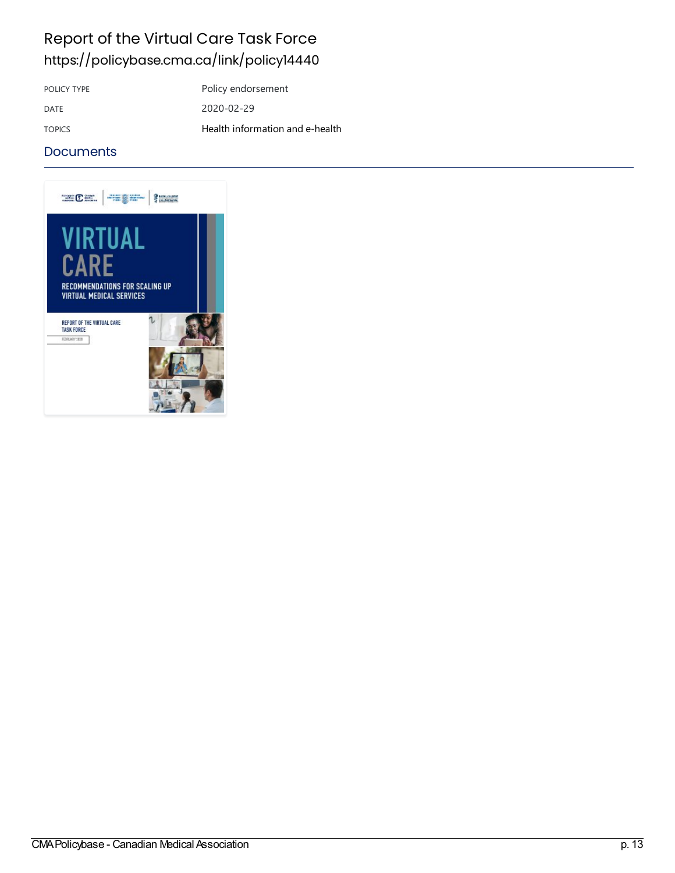### Report of the Virtual Care Task Force <https://policybase.cma.ca/link/policy14440>

POLICY TYPE Policy endorsement

DATE 2020-02-29 TOPICS Health [information](https://policybase.cma.ca/list?q=topic%253A%2522Health%20information%20and%20e-health%2522&p=1&ps=&sort=title_sort%20asc) and e-health

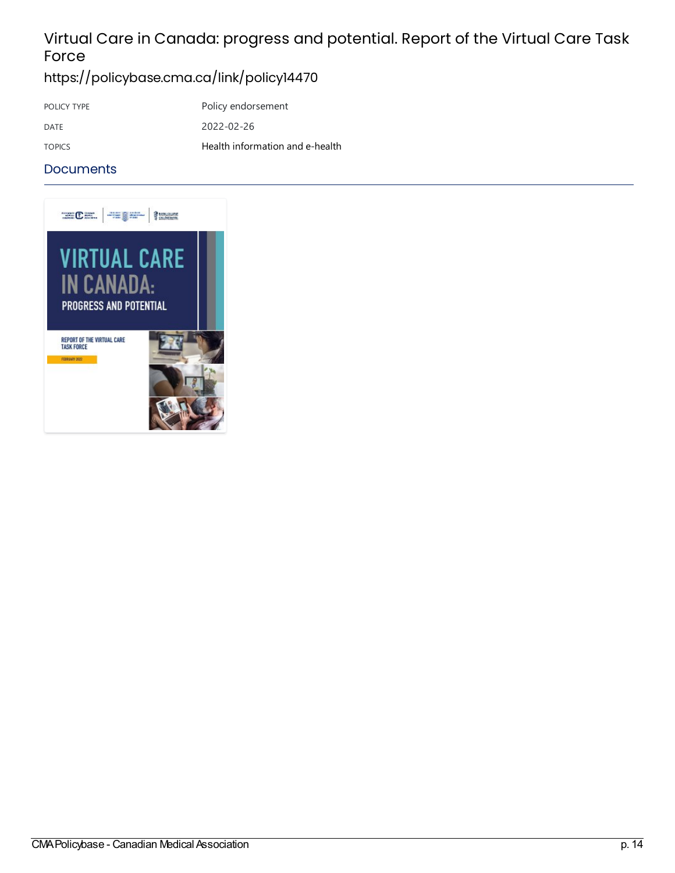### Virtual Care in Canada: progress and potential. Report of the Virtual Care Task Force

### <https://policybase.cma.ca/link/policy14470>

POLICY TYPE POLICY TYPE POLICY ENGINEERING POLICY TYPE DATE 2022-02-26 TOPICS Health [information](https://policybase.cma.ca/list?q=topic%253A%2522Health%20information%20and%20e-health%2522&p=1&ps=&sort=title_sort%20asc) and e-health